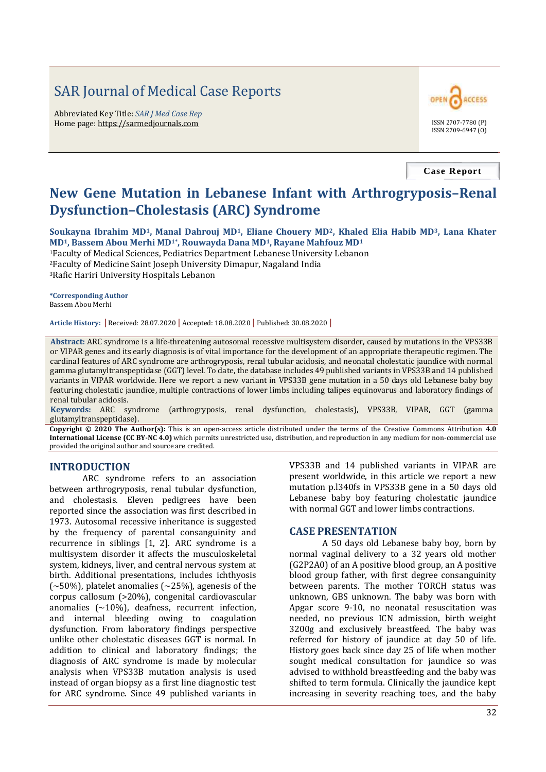# SAR Journal of Medical Case Reports

Abbreviated Key Title: *SAR J Med Case Rep* Home page: https://sarmedjournals.com ISSN 2707-7780 (P)



**Case Report**

## **New Gene Mutation in Lebanese Infant with Arthrogryposis–Renal Dysfunction–Cholestasis (ARC) Syndrome**

**Soukayna Ibrahim MD1, Manal Dahrouj MD1, Eliane Chouery MD2, Khaled Elia Habib MD3, Lana Khater MD1, Bassem Abou Merhi MD1\*, Rouwayda Dana MD1, Rayane Mahfouz MD<sup>1</sup>** <sup>1</sup>Faculty of Medical Sciences, Pediatrics Department Lebanese University Lebanon

<sup>2</sup>Faculty of Medicine Saint Joseph University Dimapur, Nagaland India <sup>3</sup>Rafic Hariri University Hospitals Lebanon

**\*Corresponding Author** Bassem Abou Merhi

**Article History: |** Received: 28.07.2020 **|** Accepted: 18.08.2020 **|** Published: 30.08.2020 **|**

**Abstract:** ARC syndrome is a life-threatening autosomal recessive multisystem disorder, caused by mutations in the VPS33B or VIPAR genes and its early diagnosis is of vital importance for the development of an appropriate therapeutic regimen. The cardinal features of ARC syndrome are arthrogryposis, renal tubular acidosis, and neonatal cholestatic jaundice with normal gamma glutamyltranspeptidase (GGT) level. To date, the database includes 49 published variants in VPS33B and 14 published variants in VIPAR worldwide. Here we report a new variant in VPS33B gene mutation in a 50 days old Lebanese baby boy featuring cholestatic jaundice, multiple contractions of lower limbs including talipes equinovarus and laboratory findings of renal tubular acidosis.

**Keywords:** ARC syndrome (arthrogryposis, renal dysfunction, cholestasis), VPS33B, VIPAR, GGT (gamma glutamyltranspeptidase).

**Copyright © 2020 The Author(s):** This is an open-access article distributed under the terms of the Creative Commons Attribution **4.0 International License (CC BY-NC 4.0)** which permits unrestricted use, distribution, and reproduction in any medium for non-commercial use provided the original author and source are credited.

#### **INTRODUCTION**

ARC syndrome refers to an association between arthrogryposis, renal tubular dysfunction, and cholestasis. Eleven pedigrees have been reported since the association was first described in 1973. Autosomal recessive inheritance is suggested by the frequency of parental consanguinity and recurrence in siblings [1, 2]. ARC syndrome is a multisystem disorder it affects the musculoskeletal system, kidneys, liver, and central nervous system at birth. Additional presentations, includes ichthyosis ( $\sim$ 50%), platelet anomalies ( $\sim$ 25%), agenesis of the corpus callosum (>20%), congenital cardiovascular anomalies  $({\sim}10\%)$ , deafness, recurrent infection, and internal bleeding owing to coagulation dysfunction. From laboratory findings perspective unlike other cholestatic diseases GGT is normal. In addition to clinical and laboratory findings; the diagnosis of ARC syndrome is made by molecular analysis when VPS33B mutation analysis is used instead of organ biopsy as a first line diagnostic test for ARC syndrome. Since 49 published variants in

VPS33B and 14 published variants in VIPAR are present worldwide, in this article we report a new mutation p.l340fs in VPS33B gene in a 50 days old Lebanese baby boy featuring cholestatic jaundice with normal GGT and lower limbs contractions.

#### **CASE PRESENTATION**

A 50 days old Lebanese baby boy, born by normal vaginal delivery to a 32 years old mother (G2P2A0) of an A positive blood group, an A positive blood group father, with first degree consanguinity between parents. The mother TORCH status was unknown, GBS unknown. The baby was born with Apgar score 9-10, no neonatal resuscitation was needed, no previous ICN admission, birth weight 3200g and exclusively breastfeed. The baby was referred for history of jaundice at day 50 of life. History goes back since day 25 of life when mother sought medical consultation for jaundice so was advised to withhold breastfeeding and the baby was shifted to term formula. Clinically the jaundice kept increasing in severity reaching toes, and the baby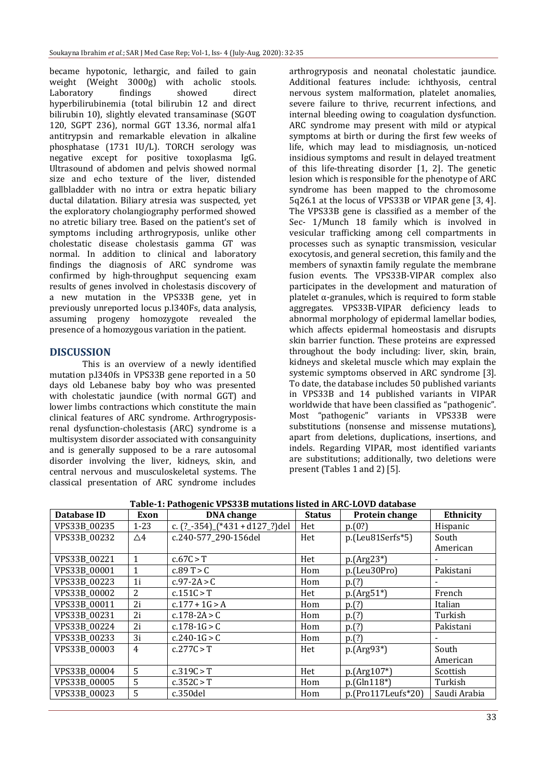became hypotonic, lethargic, and failed to gain weight (Weight 3000g) with acholic stools. Laboratory findings showed direct hyperbilirubinemia (total bilirubin 12 and direct bilirubin 10), slightly elevated transaminase (SGOT 120, SGPT 236), normal GGT 13.36, normal alfa1 antitrypsin and remarkable elevation in alkaline phosphatase (1731 IU/L). TORCH serology was negative except for positive toxoplasma IgG. Ultrasound of abdomen and pelvis showed normal size and echo texture of the liver, distended gallbladder with no intra or extra hepatic biliary ductal dilatation. Biliary atresia was suspected, yet the exploratory cholangiography performed showed no atretic biliary tree. Based on the patient's set of symptoms including arthrogryposis, unlike other cholestatic disease cholestasis gamma GT was normal. In addition to clinical and laboratory findings the diagnosis of ARC syndrome was confirmed by high-throughput sequencing exam results of genes involved in cholestasis discovery of a new mutation in the VPS33B gene, yet in previously unreported locus p.l340Fs, data analysis, assuming progeny homozygote revealed the presence of a homozygous variation in the patient.

#### **DISCUSSION**

This is an overview of a newly identified mutation p.l340fs in VPS33B gene reported in a 50 days old Lebanese baby boy who was presented with cholestatic jaundice (with normal GGT) and lower limbs contractions which constitute the main clinical features of ARC syndrome. Arthrogryposisrenal dysfunction-cholestasis (ARC) syndrome is a multisystem disorder associated with consanguinity and is generally supposed to be a rare autosomal disorder involving the liver, kidneys, skin, and central nervous and musculoskeletal systems. The classical presentation of ARC syndrome includes

arthrogryposis and neonatal cholestatic jaundice. Additional features include: ichthyosis, central nervous system malformation, platelet anomalies, severe failure to thrive, recurrent infections, and internal bleeding owing to coagulation dysfunction. ARC syndrome may present with mild or atypical symptoms at birth or during the first few weeks of life, which may lead to misdiagnosis, un-noticed insidious symptoms and result in delayed treatment of this life-threating disorder [1, 2]. The genetic lesion which is responsible for the phenotype of ARC syndrome has been mapped to the chromosome 5q26.1 at the locus of VPS33B or VIPAR gene [3, 4]. The VPS33B gene is classified as a member of the Sec- 1/Munch 18 family which is involved in vesicular trafficking among cell compartments in processes such as synaptic transmission, vesicular exocytosis, and general secretion, this family and the members of synaxtin family regulate the membrane fusion events. The VPS33B‐VIPAR complex also participates in the development and maturation of platelet  $\alpha$ -granules, which is required to form stable aggregates. VPS33B‐VIPAR deficiency leads to abnormal morphology of epidermal lamellar bodies, which affects epidermal homeostasis and disrupts skin barrier function. These proteins are expressed throughout the body including: liver, skin, brain, kidneys and skeletal muscle which may explain the systemic symptoms observed in ARC syndrome [3]. To date, the database includes 50 published variants in VPS33B and 14 published variants in VIPAR worldwide that have been classified as "pathogenic". Most "pathogenic" variants in VPS33B were substitutions (nonsense and missense mutations), apart from deletions, duplications, insertions, and indels. Regarding VIPAR, most identified variants are substitutions; additionally, two deletions were present (Tables 1 and 2) [5].

| Database ID  | Exon           | <b>DNA</b> change                   | <b>Status</b> | Protein change       | Ethnicity    |
|--------------|----------------|-------------------------------------|---------------|----------------------|--------------|
| VPS33B_00235 | $1 - 23$       | c. $(2 - 354)$ $(*431 + d127$ ?)del | Het           | p.(0?)               | Hispanic     |
| VPS33B_00232 | $\triangle 4$  | c.240-577_290-156del                | Het           | $p.(Leu81Serfs*5)$   | South        |
|              |                |                                     |               |                      | American     |
| VPS33B_00221 | $\mathbf{1}$   | c.67C > T                           | Het           | $p.(Arg23*)$         |              |
| VPS33B_00001 | 1              | c.89 T > C                          | Hom           | p.(Leu30Pro)         | Pakistani    |
| VPS33B_00223 | 1 <sub>i</sub> | $c.97 - 2A > C$                     | Hom           | p(?)                 |              |
| VPS33B_00002 | $\overline{2}$ | c.151C > T                          | Het           | $p.(Arg51*)$         | French       |
| VPS33B_00011 | 2i             | $c.177 + 1G > A$                    | Hom           | p.(?)                | Italian      |
| VPS33B_00231 | 2i             | $c.178 - 2A > C$                    | Hom           | p(?)                 | Turkish      |
| VPS33B_00224 | 2i             | $c.178 - 1G > C$                    | Hom           | p.(?)                | Pakistani    |
| VPS33B_00233 | 3i             | c.240-1 $G > C$                     | Hom           | p(?)                 |              |
| VPS33B_00003 | $\overline{4}$ | c.277C > T                          | Het           | $p.(Arg93*)$         | South        |
|              |                |                                     |               |                      | American     |
| VPS33B_00004 | 5              | c.319C > T                          | Het           | $p.(Arg107*)$        | Scottish     |
| VPS33B_00005 | 5              | c.352C > T                          | Hom           | $p.(Gln118*)$        | Turkish      |
| VPS33B_00023 | 5              | c.350del                            | Hom           | $p.(Pro117Letfs*20)$ | Saudi Arabia |

**Table-1: Pathogenic VPS33B mutations listed in ARC-LOVD database**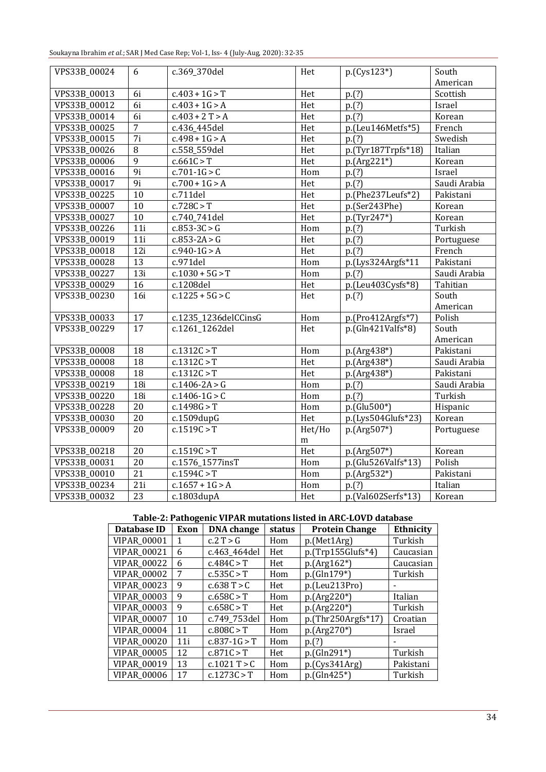| Soukayna Ibrahim et al.; SAR J Med Case Rep; Vol-1, Iss- 4 (July-Aug, 2020): 32-35 |  |  |
|------------------------------------------------------------------------------------|--|--|
|------------------------------------------------------------------------------------|--|--|

| VPS33B_00024 | 6                | c.369_370del         | Het                                                                                                                | $p.(Cys123*)$       | South        |
|--------------|------------------|----------------------|--------------------------------------------------------------------------------------------------------------------|---------------------|--------------|
|              |                  |                      |                                                                                                                    |                     | American     |
| VPS33B_00013 | 6i               | $c.403 + 1G > T$     | Het                                                                                                                | p.(?)               | Scottish     |
| VPS33B_00012 | 6i               | $c.403 + 1G > A$     | Het                                                                                                                | p.(?)               | Israel       |
| VPS33B_00014 | $\overline{6i}$  | $c.403 + 2T > A$     | Het                                                                                                                | p.(?)               | Korean       |
| VPS33B_00025 | 7                | c.436_445del         | Het                                                                                                                | p.(Leu146Metfs*5)   | French       |
| VPS33B_00015 | $\overline{7i}$  | $c.498 + 1G > A$     | Het                                                                                                                | p.(?)               | Swedish      |
| VPS33B_00026 | $\overline{8}$   | c.558_559del         | Het                                                                                                                | p.(Tyr187Trpfs*18)  | Italian      |
| VPS33B_00006 | $\overline{9}$   | c.661C > T           | Het                                                                                                                | $p.(Arg221*)$       | Korean       |
| VPS33B_00016 | 9i               | $c.701 - 1G > C$     | $\overline{Hom}$                                                                                                   | p.(?)               | Israel       |
| VPS33B_00017 | $\overline{9i}$  | $c.700 + 1G > A$     | Het                                                                                                                | p.(?)               | Saudi Arabia |
| VPS33B_00225 | 10               | c.711del             | Het                                                                                                                | p.(Phe237Leufs*2)   | Pakistani    |
| VPS33B_00007 | $\overline{10}$  | c.728C > T           | Het                                                                                                                | p.(Ser243Phe)       | Korean       |
| VPS33B_00027 | 10               | c.740_741del         | Het                                                                                                                | p.(Tyr247*)         | Korean       |
| VPS33B_00226 | 11i              | $c.853 - 3C > G$     | Hom                                                                                                                | p.(?)               | Turkish      |
| VPS33B_00019 | 11i              | $c.853 - 2A > G$     | Het                                                                                                                | p.(?)               | Portuguese   |
| VPS33B_00018 | 12i              | $c.940 - 1G > A$     | Het                                                                                                                | p.(?)               | French       |
| VPS33B_00028 | 13               | c.971del             | Hom                                                                                                                | p.(Lys324Argfs*11   | Pakistani    |
| VPS33B_00227 | 13i              | $c.1030 + 5G > T$    | Hom                                                                                                                | p.(?)               | Saudi Arabia |
| VPS33B_00029 | 16               | c.1208del            | Het                                                                                                                | p.(Leu403Cysfs*8)   | Tahitian     |
| VPS33B_00230 | 16i              | $c.1225 + 5G > C$    | Het                                                                                                                | p.(?)               | South        |
|              |                  |                      |                                                                                                                    |                     | American     |
| VPS33B_00033 | 17               | c.1235_1236delCCinsG | Hom                                                                                                                | p.(Pro412Argfs*7)   | Polish       |
| VPS33B_00229 | 17               | c.1261_1262del       | Het                                                                                                                | $p.(Gln421Valfs*8)$ | South        |
|              |                  |                      |                                                                                                                    |                     | American     |
| VPS33B_00008 | 18               | c.1312C > T          | Hom                                                                                                                | p.(Arg438*)         | Pakistani    |
| VPS33B_00008 | 18               | c.1312C > T          | Het                                                                                                                | p.(Arg438*)         | Saudi Arabia |
| VPS33B_00008 | 18               | c.1312C > T          | Het                                                                                                                | p.(Arg438*)         | Pakistani    |
| VPS33B_00219 | 18i              | $c.1406 - 2A > G$    | Hom                                                                                                                | p.(?)               | Saudi Arabia |
| VPS33B_00220 | $\overline{18i}$ | $c.1406 - 1G > C$    | $\overline{Hom}$                                                                                                   | p.(?)               | Turkish      |
| VPS33B_00228 | 20               | c.1498G > T          | Hom                                                                                                                | p.(Glu500*)         | Hispanic     |
| VPS33B_00030 | $20\,$           | c.1509dupG           | Het                                                                                                                | p.(Lys504Glufs*23)  | Korean       |
| VPS33B_00009 | 20               | c.1519C > T          | Het/Ho                                                                                                             | $p.(Arg507*)$       | Portuguese   |
|              |                  |                      | m                                                                                                                  |                     |              |
| VPS33B_00218 | 20               | c.1519C > T          | Het                                                                                                                | p.(Arg507*)         | Korean       |
| VPS33B_00031 | 20               | c.1576_1577insT      | $\operatorname*{Hom}% \nolimits_{\mathbb{Z}}\left( \mathbb{Z}^{\Sigma\left( 1\right) }% ,\mathbb{C}^{\ast}\right)$ | p.(Glu526Valfs*13)  | Polish       |
| VPS33B_00010 | $\overline{21}$  | c.1594C > T          | Hom                                                                                                                | $p.(Arg532*)$       | Pakistani    |
| VPS33B_00234 | 21i              | $c.1657 + 1G > A$    | Hom                                                                                                                | p(?)                | Italian      |
| VPS33B_00032 | $\overline{23}$  | c.1803dupA           | Het                                                                                                                | p.(Val602Serfs*13)  | Korean       |

| Table-2: Pathogenic VIPAR mutations listed in ARC-LOVD database |
|-----------------------------------------------------------------|
|-----------------------------------------------------------------|

| Database ID        | Exon | <b>DNA</b> change | status     | <b>Protein Change</b> | <b>Ethnicity</b> |
|--------------------|------|-------------------|------------|-----------------------|------------------|
| VIPAR_00001        | 1    | c.2 T > G         | Hom        | p.(Met1Arg)           | Turkish          |
| VIPAR_00021        | 6    | c.463_464del      | Het        | $p.(Trp155Glufs*4)$   | Caucasian        |
| VIPAR_00022        | 6    | c.484C > T        | Het        | $p.(Arg162*)$         | Caucasian        |
| VIPAR_00002        | 7    | c.535C > T        | Hom        | p.(Gln179*)           | Turkish          |
| VIPAR_00023        | 9    | c.638T > C        | <b>Het</b> | p.(Leu213Pro)         |                  |
| VIPAR_00003        | 9    | c.658C > T        | Hom        | $p.(Arg220*)$         | Italian          |
| <b>VIPAR 00003</b> | 9    | c.658C > T        | Het        | $p.(Arg220*)$         | Turkish          |
| VIPAR_00007        | 10   | c.749_753del      | Hom        | $p.(Thr250Argfs*17)$  | Croatian         |
| VIPAR_00004        | 11   | c.808C > T        | Hom        | p.(Arg270*)           | Israel           |
| VIPAR_00020        | 11i  | $c.837 - 1G > T$  | Hom        | p(?)                  |                  |
| VIPAR_00005        | 12   | c.871C > T        | Het        | $p.(Gln291*)$         | Turkish          |
| VIPAR_00019        | 13   | $c.1021$ T > C    | Hom        | p(Gys341Arg)          | Pakistani        |
| VIPAR_00006        | 17   | c.1273C > T       | Hom        | $p.(Gln425*)$         | Turkish          |